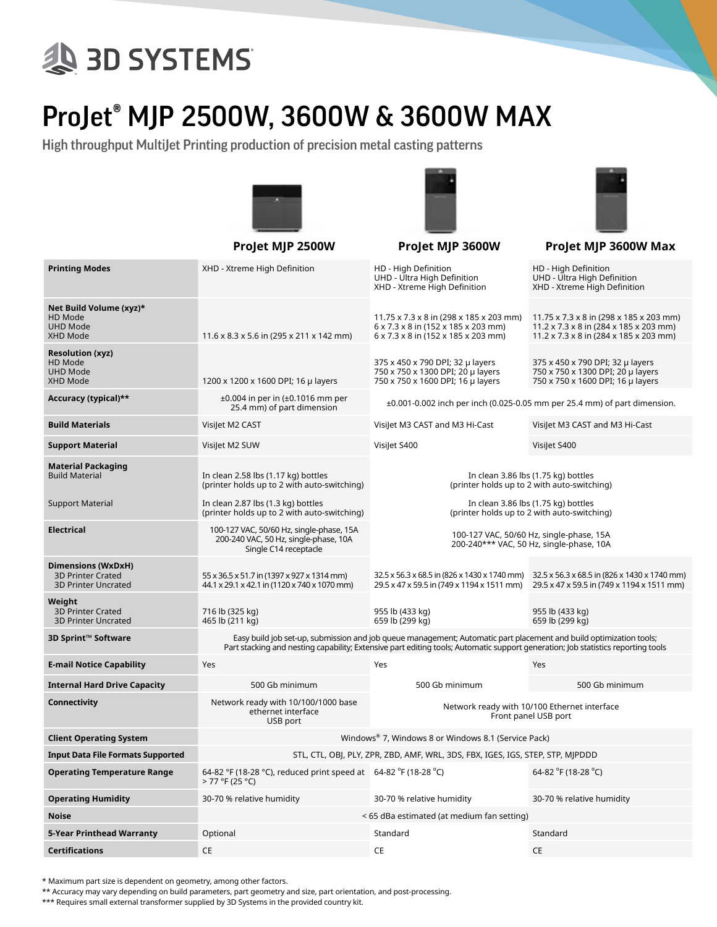## **ED SYSTEMS**

## ProJet® MJP 2500W, 3600W & 3600W MAX

High throughput MultiJet Printing production of precision metal casting patterns





|                                                                                     | Projet MJP 2500W                                                                                                                                                                                                                                       | Projet MJP 3600W                                                                                                      | Projet MJP 3600W Max                                                                                                                                |  |  |  |  |
|-------------------------------------------------------------------------------------|--------------------------------------------------------------------------------------------------------------------------------------------------------------------------------------------------------------------------------------------------------|-----------------------------------------------------------------------------------------------------------------------|-----------------------------------------------------------------------------------------------------------------------------------------------------|--|--|--|--|
| <b>Printing Modes</b>                                                               | XHD - Xtreme High Definition                                                                                                                                                                                                                           | HD - High Definition<br>UHD - Ultra High Definition<br>XHD - Xtreme High Definition                                   | HD - High Definition<br>UHD - Ultra High Definition<br>XHD - Xtreme High Definition                                                                 |  |  |  |  |
| Net Build Volume (xyz)*<br>HD Mode<br><b>UHD Mode</b><br>XHD Mode                   | $11.6 \times 8.3 \times 5.6$ in (295 x 211 x 142 mm)                                                                                                                                                                                                   | 11.75 x 7.3 x 8 in (298 x 185 x 203 mm)<br>6 x 7.3 x 8 in (152 x 185 x 203 mm)<br>6 x 7.3 x 8 in (152 x 185 x 203 mm) | 11.75 x 7.3 x 8 in (298 x 185 x 203 mm)<br>$11.2 \times 7.3 \times 8$ in (284 x 185 x 203 mm)<br>$11.2 \times 7.3 \times 8$ in (284 x 185 x 203 mm) |  |  |  |  |
| <b>Resolution (xyz)</b><br>HD Mode<br><b>UHD Mode</b><br>XHD Mode                   | 1200 x 1200 x 1600 DPI; 16 µ layers                                                                                                                                                                                                                    | 375 x 450 x 790 DPI; 32 µ layers<br>750 x 750 x 1300 DPI; 20 µ layers<br>750 x 750 x 1600 DPI; 16 µ layers            | 375 x 450 x 790 DPI; 32 µ layers<br>750 x 750 x 1300 DPI; 20 µ layers<br>750 x 750 x 1600 DPI; 16 µ layers                                          |  |  |  |  |
| Accuracy (typical)**                                                                | ±0.004 in per in (±0.1016 mm per<br>25.4 mm) of part dimension                                                                                                                                                                                         | $\pm 0.001$ -0.002 inch per inch (0.025-0.05 mm per 25.4 mm) of part dimension.                                       |                                                                                                                                                     |  |  |  |  |
| <b>Build Materials</b>                                                              | VisiJet M2 CAST                                                                                                                                                                                                                                        | Visilet M3 CAST and M3 Hi-Cast                                                                                        | Visilet M3 CAST and M3 Hi-Cast                                                                                                                      |  |  |  |  |
| <b>Support Material</b>                                                             | VisiJet M2 SUW                                                                                                                                                                                                                                         | Visilet S400                                                                                                          | Visilet S400                                                                                                                                        |  |  |  |  |
| <b>Material Packaging</b><br><b>Build Material</b>                                  | In clean 2.58 lbs (1.17 kg) bottles<br>(printer holds up to 2 with auto-switching)                                                                                                                                                                     | In clean 3.86 lbs (1.75 kg) bottles<br>(printer holds up to 2 with auto-switching)                                    |                                                                                                                                                     |  |  |  |  |
| <b>Support Material</b>                                                             | In clean 2.87 lbs (1.3 kg) bottles<br>(printer holds up to 2 with auto-switching)                                                                                                                                                                      | In clean 3.86 lbs (1.75 kg) bottles<br>(printer holds up to 2 with auto-switching)                                    |                                                                                                                                                     |  |  |  |  |
| <b>Electrical</b>                                                                   | 100-127 VAC, 50/60 Hz, single-phase, 15A<br>200-240 VAC, 50 Hz, single-phase, 10A<br>Single C14 receptacle                                                                                                                                             | 100-127 VAC, 50/60 Hz, single-phase, 15A<br>200-240*** VAC, 50 Hz, single-phase, 10A                                  |                                                                                                                                                     |  |  |  |  |
| <b>Dimensions (WxDxH)</b><br><b>3D Printer Crated</b><br><b>3D Printer Uncrated</b> | 55 x 36.5 x 51.7 in (1397 x 927 x 1314 mm)<br>44.1 x 29.1 x 42.1 in (1120 x 740 x 1070 mm)                                                                                                                                                             | 29.5 x 47 x 59.5 in (749 x 1194 x 1511 mm)                                                                            | 32.5 x 56.3 x 68.5 in (826 x 1430 x 1740 mm) 32.5 x 56.3 x 68.5 in (826 x 1430 x 1740 mm)<br>29.5 x 47 x 59.5 in (749 x 1194 x 1511 mm)             |  |  |  |  |
| Weight<br><b>3D Printer Crated</b><br><b>3D Printer Uncrated</b>                    | 716 lb (325 kg)<br>465 lb (211 kg)                                                                                                                                                                                                                     | 955 lb (433 kg)<br>659 lb (299 kg)                                                                                    | 955 lb (433 kg)<br>659 lb (299 kg)                                                                                                                  |  |  |  |  |
| 3D Sprint™ Software                                                                 | Easy build job set-up, submission and job queue management; Automatic part placement and build optimization tools;<br>Part stacking and nesting capability; Extensive part editing tools; Automatic support generation; Job statistics reporting tools |                                                                                                                       |                                                                                                                                                     |  |  |  |  |
| <b>E-mail Notice Capability</b>                                                     | Yes                                                                                                                                                                                                                                                    | Yes                                                                                                                   | Yes                                                                                                                                                 |  |  |  |  |
| <b>Internal Hard Drive Capacity</b>                                                 | 500 Gb minimum                                                                                                                                                                                                                                         | 500 Gb minimum                                                                                                        | 500 Gb minimum                                                                                                                                      |  |  |  |  |
| Connectivity                                                                        | Network ready with 10/100/1000 base<br>ethernet interface<br>USB port                                                                                                                                                                                  | Network ready with 10/100 Ethernet interface<br>Front panel USB port                                                  |                                                                                                                                                     |  |  |  |  |
| <b>Client Operating System</b>                                                      | Windows <sup>®</sup> 7, Windows 8 or Windows 8.1 (Service Pack)                                                                                                                                                                                        |                                                                                                                       |                                                                                                                                                     |  |  |  |  |
| <b>Input Data File Formats Supported</b>                                            | STL, CTL, OBJ, PLY, ZPR, ZBD, AMF, WRL, 3DS, FBX, IGES, IGS, STEP, STP, MJPDDD                                                                                                                                                                         |                                                                                                                       |                                                                                                                                                     |  |  |  |  |
| <b>Operating Temperature Range</b>                                                  | 64-82 °F (18-28 °C), reduced print speed at 64-82 °F (18-28 °C)<br>> 77 °F (25 °C)                                                                                                                                                                     |                                                                                                                       | 64-82 °F (18-28 °C)                                                                                                                                 |  |  |  |  |
| <b>Operating Humidity</b>                                                           | 30-70 % relative humidity                                                                                                                                                                                                                              | 30-70 % relative humidity                                                                                             | 30-70 % relative humidity                                                                                                                           |  |  |  |  |
| <b>Noise</b>                                                                        | < 65 dBa estimated (at medium fan setting)                                                                                                                                                                                                             |                                                                                                                       |                                                                                                                                                     |  |  |  |  |
| 5-Year Printhead Warranty                                                           | Optional                                                                                                                                                                                                                                               | Standard                                                                                                              | Standard                                                                                                                                            |  |  |  |  |

\* Maximum part size is dependent on geometry, among other factors.

\*\* Accuracy may vary depending on build parameters, part geometry and size, part orientation, and post-processing.

**Certifications** CE CE CE

\*\*\* Requires small external transformer supplied by 3D Systems in the provided country kit.